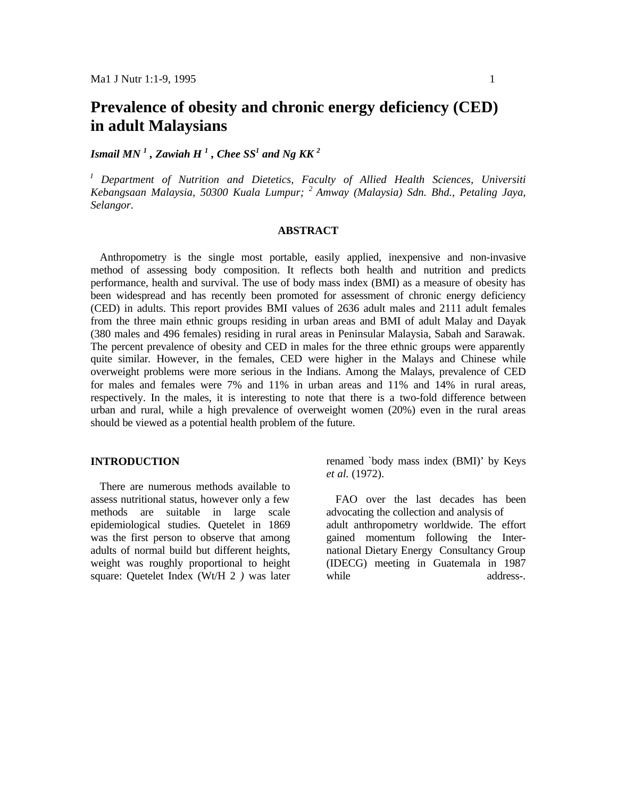# **Prevalence of obesity and chronic energy deficiency (CED) in adult Malaysians**

 $I$ smail MN  $^1$  , Zawiah H  $^1$  , Chee SS<sup>1</sup> and Ng KK  $^2$ 

*<sup>I</sup> Department of Nutrition and Dietetics, Faculty of Allied Health Sciences, Universiti Kebangsaan Malaysia, 50300 Kuala Lumpur; <sup>2</sup>Amway (Malaysia) Sdn. Bhd., Petaling Jaya, Selangor.*

#### **ABSTRACT**

Anthropometry is the single most portable, easily applied, inexpensive and non-invasive method of assessing body composition. It reflects both health and nutrition and predicts performance, health and survival. The use of body mass index (BMI) as a measure of obesity has been widespread and has recently been promoted for assessment of chronic energy deficiency (CED) in adults. This report provides BMI values of 2636 adult males and 2111 adult females from the three main ethnic groups residing in urban areas and BMI of adult Malay and Dayak (380 males and 496 females) residing in rural areas in Peninsular Malaysia, Sabah and Sarawak. The percent prevalence of obesity and CED in males for the three ethnic groups were apparently quite similar. However, in the females, CED were higher in the Malays and Chinese while overweight problems were more serious in the Indians. Among the Malays, prevalence of CED for males and females were 7% and 11% in urban areas and 11% and 14% in rural areas, respectively. In the males, it is interesting to note that there is a two-fold difference between urban and rural, while a high prevalence of overweight women (20%) even in the rural areas should be viewed as a potential health problem of the future.

# **INTRODUCTION**

There are numerous methods available to assess nutritional status, however only a few methods are suitable in large scale epidemiological studies. Quetelet in 1869 was the first person to observe that among adults of normal build but different heights, weight was roughly proportional to height square: Quetelet Index (Wt/H 2 *)* was later

renamed `body mass index (BMI)' by Keys *et al.* (1972).

FAO over the last decades has been advocating the collection and analysis of adult anthropometry worldwide. The effort gained momentum following the International Dietary Energy Consultancy Group (IDECG) meeting in Guatemala in 1987 while address-.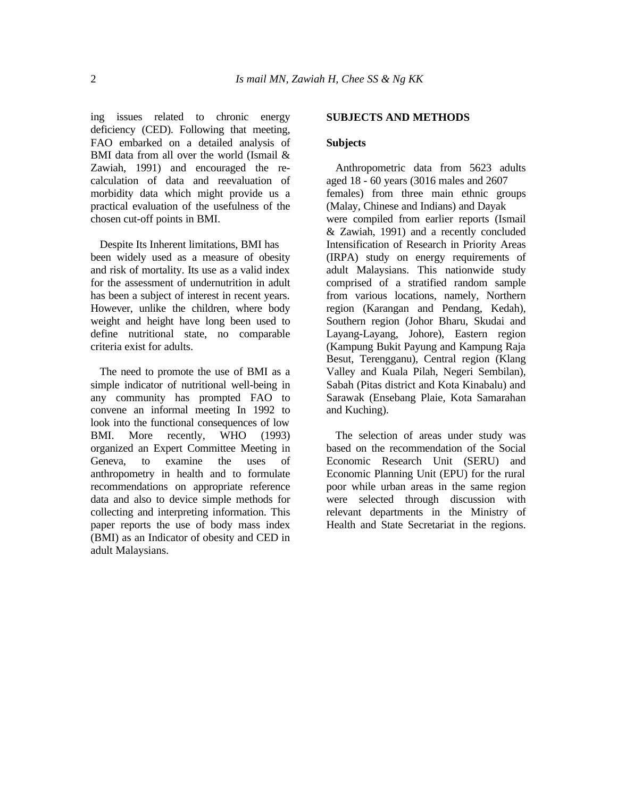ing issues related to chronic energy deficiency (CED). Following that meeting, FAO embarked on a detailed analysis of BMI data from all over the world (Ismail & Zawiah, 1991) and encouraged the recalculation of data and reevaluation of morbidity data which might provide us a practical evaluation of the usefulness of the chosen cut-off points in BMI.

Despite Its Inherent limitations, BMI has been widely used as a measure of obesity and risk of mortality. Its use as a valid index for the assessment of undernutrition in adult has been a subject of interest in recent years. However, unlike the children, where body weight and height have long been used to define nutritional state, no comparable criteria exist for adults.

The need to promote the use of BMI as a simple indicator of nutritional well-being in any community has prompted FAO to convene an informal meeting In 1992 to look into the functional consequences of low BMI. More recently, WHO (1993) organized an Expert Committee Meeting in Geneva, to examine the uses of anthropometry in health and to formulate recommendations on appropriate reference data and also to device simple methods for collecting and interpreting information. This paper reports the use of body mass index (BMI) as an Indicator of obesity and CED in adult Malaysians.

# **SUBJECTS AND METHODS**

#### **Subjects**

Anthropometric data from 5623 adults aged 18 - 60 years (3016 males and 2607 females) from three main ethnic groups (Malay, Chinese and Indians) and Dayak were compiled from earlier reports (Ismail & Zawiah, 1991) and a recently concluded Intensification of Research in Priority Areas (IRPA) study on energy requirements of adult Malaysians. This nationwide study comprised of a stratified random sample from various locations, namely, Northern region (Karangan and Pendang, Kedah), Southern region (Johor Bharu, Skudai and Layang-Layang, Johore), Eastern region (Kampung Bukit Payung and Kampung Raja Besut, Terengganu), Central region (Klang Valley and Kuala Pilah, Negeri Sembilan), Sabah (Pitas district and Kota Kinabalu) and Sarawak (Ensebang Plaie, Kota Samarahan and Kuching).

The selection of areas under study was based on the recommendation of the Social Economic Research Unit (SERU) and Economic Planning Unit (EPU) for the rural poor while urban areas in the same region were selected through discussion with relevant departments in the Ministry of Health and State Secretariat in the regions.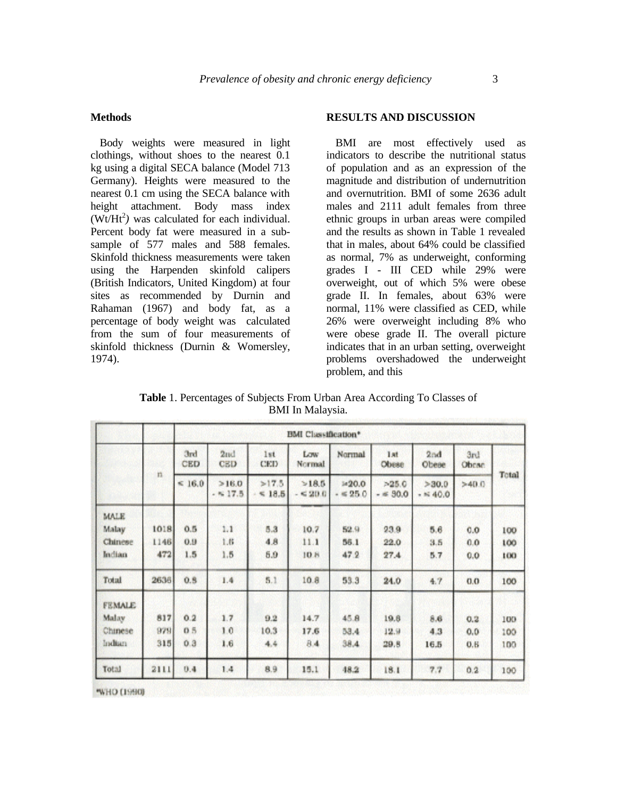## **Methods**

Body weights were measured in light clothings, without shoes to the nearest 0.1 kg using a digital SECA balance (Model 713 Germany). Heights were measured to the nearest 0.1 cm using the SECA balance with height attachment. Body mass index  $(Wt/Ht^2)$  was calculated for each individual. Percent body fat were measured in a subsample of 577 males and 588 females. Skinfold thickness measurements were taken using the Harpenden skinfold calipers (British Indicators, United Kingdom) at four sites as recommended by Durnin and Rahaman (1967) and body fat, as a percentage of body weight was calculated from the sum of four measurements of skinfold thickness (Durnin & Womersley, 1974).

## **RESULTS AND DISCUSSION**

BMI are most effectively used as indicators to describe the nutritional status of population and as an expression of the magnitude and distribution of undernutrition and overnutrition. BMI of some 2636 adult males and 2111 adult females from three ethnic groups in urban areas were compiled and the results as shown in Table 1 revealed that in males, about 64% could be classified as normal, 7% as underweight, conforming grades I - III CED while 29% were overweight, out of which 5% were obese grade II. In females, about 63% were normal, 11% were classified as CED, while 26% were overweight including 8% who were obese grade II. The overall picture indicates that in an urban setting, overweight problems overshadowed the underweight problem, and this

**Table** 1. Percentages of Subjects From Urban Area According To Classes of BMI In Malaysia.

|               |                 | <b>BMI</b> Classification* |                                                  |                               |                                  |                             |                                     |                                    |                        |       |
|---------------|-----------------|----------------------------|--------------------------------------------------|-------------------------------|----------------------------------|-----------------------------|-------------------------------------|------------------------------------|------------------------|-------|
|               | 3rd<br>CED<br>n |                            | 2 <sub>tt</sub><br><b>CED</b><br>>16.0<br>.517.5 | 1st<br>CED<br>>17.5<br>\$18.5 | Low<br>Normal<br>>18.5<br>< 20.0 | Normal<br>$=20.0$<br>\$25.0 | 1st<br>Obese<br>>25.0<br>$- 8.90.0$ | 2nd<br>Obese<br>>30.0<br>$- 540.0$ | 3rd<br>Obcac.<br>>40.0 | Total |
|               |                 | $\leq 16.0$                |                                                  |                               |                                  |                             |                                     |                                    |                        |       |
| MALE          |                 |                            |                                                  |                               |                                  |                             |                                     |                                    |                        |       |
| Malay         | 1018            | 0.5                        | 1.1                                              | 5.3                           | 10.7                             | 52.9                        | 23.9                                | 5.6                                | 0.0                    | 100   |
| Chinese       | 1146            | 0.9                        | 1.6%                                             | 4.8                           | 11.1                             | 56.1                        | 22.0                                | 3.5                                | 0.0                    | 100   |
| Indian        | 472             | 1.5                        | 1.5                                              | 5.9                           | 10.8                             | 47.2                        | 27.4                                | 5.7                                | 0.0                    | 100   |
| Total         | 2636            | 0.8                        | 1.4                                              | 5.1                           | 10.8                             | 53.3                        | 24.0                                | 4.7                                | 0.0                    | 100   |
| <b>FEMALE</b> |                 |                            |                                                  |                               |                                  |                             |                                     |                                    |                        |       |
| Malay         | 817             | 0.2                        | 1.7                                              | 9.2                           | 14.7                             | 45.8                        | 19.8                                | 8.6                                | 0.2                    | 100   |
| Chinese       | 979             | 0.5                        | 1.0                                              | 10.3                          | 17.6                             | 53.4                        | 12.9                                | 4.3                                | 0,0                    | 100   |
| Indian        | 315             | 0.3                        | 1,6                                              | 4, 4                          | 8.4                              | 38.4                        | 29.8                                | 16.5                               | 0.6                    | 100   |
| Total         | 2111            | 0.4                        | 1.4                                              | 8.9                           | 15.1                             | 48.2                        | 18.1                                | 7.7                                | 0.2                    | 100   |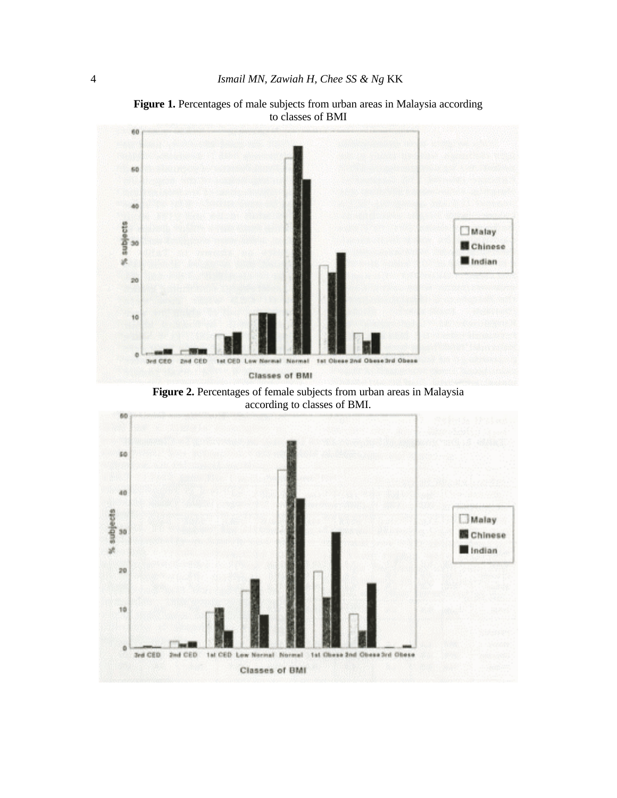

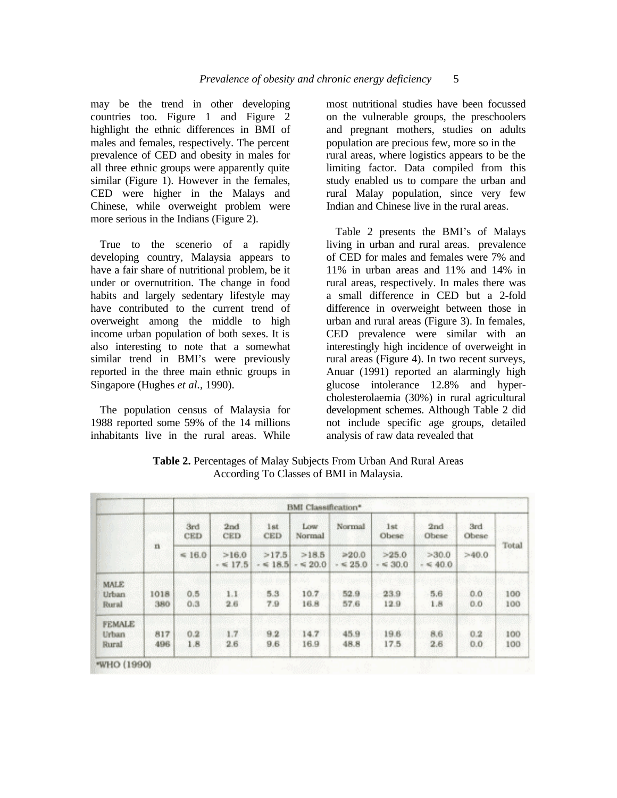may be the trend in other developing countries too. Figure 1 and Figure 2 highlight the ethnic differences in BMI of males and females, respectively. The percent prevalence of CED and obesity in males for all three ethnic groups were apparently quite similar (Figure 1). However in the females, CED were higher in the Malays and Chinese, while overweight problem were more serious in the Indians (Figure 2).

True to the scenerio of a rapidly developing country, Malaysia appears to have a fair share of nutritional problem, be it under or overnutrition. The change in food habits and largely sedentary lifestyle may have contributed to the current trend of overweight among the middle to high income urban population of both sexes. It is also interesting to note that a somewhat similar trend in BMI's were previously reported in the three main ethnic groups in Singapore (Hughes *et al.,* 1990).

The population census of Malaysia for 1988 reported some 59% of the 14 millions inhabitants live in the rural areas. While

most nutritional studies have been focussed on the vulnerable groups, the preschoolers and pregnant mothers, studies on adults population are precious few, more so in the rural areas, where logistics appears to be the limiting factor. Data compiled from this study enabled us to compare the urban and rural Malay population, since very few Indian and Chinese live in the rural areas.

Table 2 presents the BMI's of Malays living in urban and rural areas. prevalence of CED for males and females were 7% and 11% in urban areas and 11% and 14% in rural areas, respectively. In males there was a small difference in CED but a 2-fold difference in overweight between those in urban and rural areas (Figure 3). In females, CED prevalence were similar with an interestingly high incidence of overweight in rural areas (Figure 4). In two recent surveys, Anuar (1991) reported an alarmingly high glucose intolerance 12.8% and hypercholesterolaemia (30%) in rural agricultural development schemes. Although Table 2 did not include specific age groups, detailed analysis of raw data revealed that

|                                 |             | BMI Classification*       |                                    |                      |                                       |                                      |                                           |                                             |                       |            |
|---------------------------------|-------------|---------------------------|------------------------------------|----------------------|---------------------------------------|--------------------------------------|-------------------------------------------|---------------------------------------------|-----------------------|------------|
|                                 | n           | 3rd<br>CED<br>$\leq 16.0$ | 2nd<br>CED<br>>16.0<br>$\leq 17.5$ | 1st<br>CED           | Low<br>Normal<br>>18.5<br>$\leq 20.0$ | Normal<br>$\geq 20.0$<br>$\leq 25.0$ | 1st<br>Obese<br>>25.0<br>$\leq 30.0$<br>÷ | 2nd<br><b>Obese</b><br>>30.0<br>$\leq 40.0$ | 3rd<br>Obese<br>>40.0 | Total      |
|                                 |             |                           |                                    | >17.5<br>$\leq 18.5$ |                                       |                                      |                                           |                                             |                       |            |
| <b>MALE</b><br>Urban<br>Rural   | 1018<br>380 | 0.5<br>0.3                | 1.1<br>2.6                         | 5.3<br>7.9           | 10.7<br>16.8                          | 52.9<br>57.6                         | 23.9<br>12.9                              | 5,6<br>1.8                                  | 0.0<br>0.0            | 100<br>100 |
| <b>FEMALE</b><br>Urban<br>Rural | 817<br>496  | 0.2<br>1.8                | 1.7<br>2.6                         | 9.2<br>9.6           | 14.7<br>16.9                          | 45.9<br>48.8                         | 19.6<br>17.5                              | 8.6<br>2.6                                  | 0.2<br>0.0            | 100<br>100 |

**Table 2.** Percentages of Malay Subjects From Urban And Rural Areas According To Classes of BMI in Malaysia.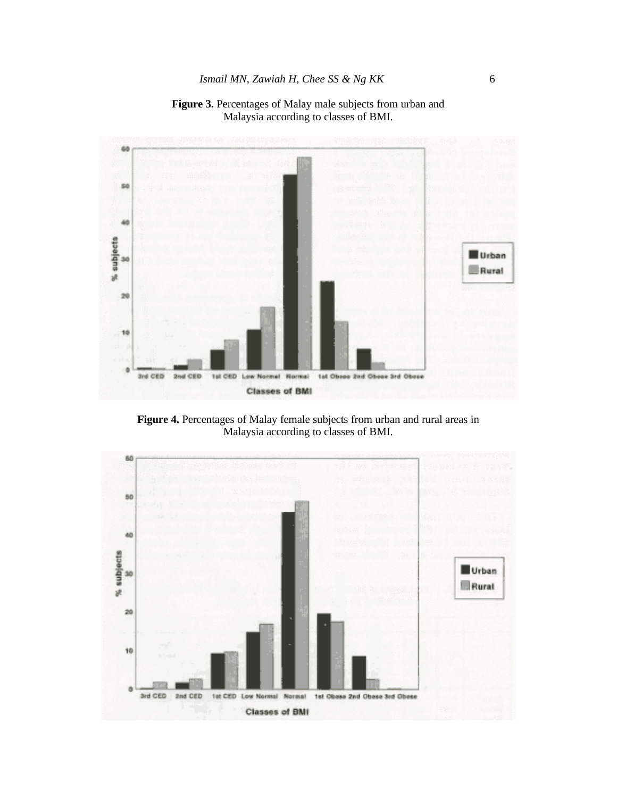



**Figure 4.** Percentages of Malay female subjects from urban and rural areas in Malaysia according to classes of BMI.

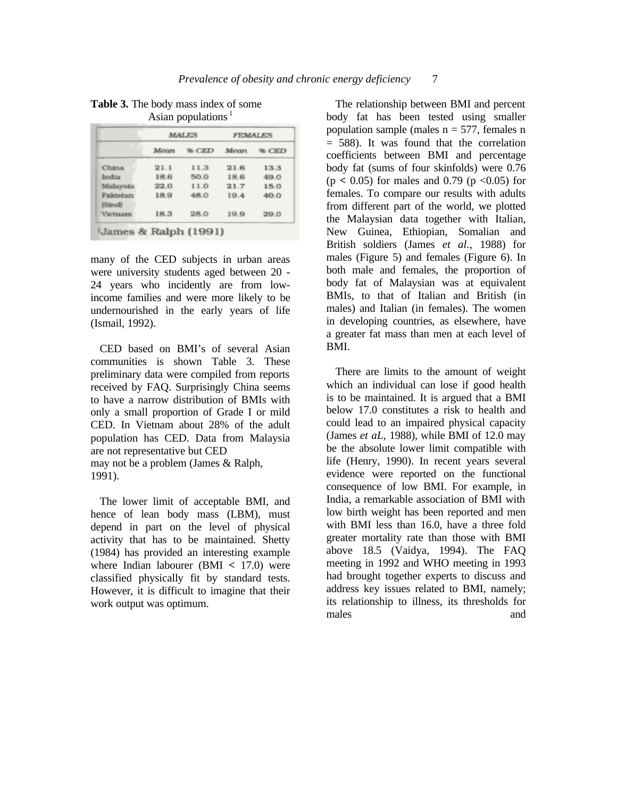| <b>Table 3.</b> The body mass index of some |                                |  |
|---------------------------------------------|--------------------------------|--|
|                                             | Asian populations <sup>1</sup> |  |

|                    |       | <b>MALES</b> | <b>FEMALES</b> |           |  |
|--------------------|-------|--------------|----------------|-----------|--|
|                    | Mecan | $%$ CED      | Mean           | $%$ $CED$ |  |
| China              | 21.1  | 11.3         | 21.6           | 13.3      |  |
| <b>India</b>       | 18.6  | 50.0         | 18.6           | 49.0      |  |
| Malaysia.          | 22.0  | 11.0         | 21.7           | 15.0      |  |
| Pakistan<br>(Sind) | 18.9  | 48.0         | 19.4           | 40.0      |  |
| <b>Vietnam</b>     | 18.3  | 28.0         | 19.9           | 29.0      |  |

**James & Ralph (1991)** 

many of the CED subjects in urban areas were university students aged between 20 - 24 years who incidently are from lowincome families and were more likely to be undernourished in the early years of life (Ismail, 1992).

CED based on BMI's of several Asian communities is shown Table 3. These preliminary data were compiled from reports received by FAQ. Surprisingly China seems to have a narrow distribution of BMIs with only a small proportion of Grade I or mild CED. In Vietnam about 28% of the adult population has CED. Data from Malaysia are not representative but CED may not be a problem (James & Ralph, 1991).

The lower limit of acceptable BMI, and hence of lean body mass (LBM), must depend in part on the level of physical activity that has to be maintained. Shetty (1984) has provided an interesting example where Indian labourer (BMI *<* 17.0) were classified physically fit by standard tests. However, it is difficult to imagine that their work output was optimum.

The relationship between BMI and percent body fat has been tested using smaller population sample (males  $n = 577$ , females n = 588). It was found that the correlation coefficients between BMI and percentage body fat (sums of four skinfolds) were 0.76  $(p < 0.05)$  for males and 0.79 ( $p < 0.05$ ) for females. To compare our results with adults from different part of the world, we plotted the Malaysian data together with Italian, New Guinea, Ethiopian, Somalian and British soldiers (James *et al.,* 1988) for males (Figure 5) and females (Figure 6). In both male and females, the proportion of body fat of Malaysian was at equivalent BMIs, to that of Italian and British (in males) and Italian (in females). The women in developing countries, as elsewhere, have a greater fat mass than men at each level of BMI.

There are limits to the amount of weight which an individual can lose if good health is to be maintained. It is argued that a BMI below 17.0 constitutes a risk to health and could lead to an impaired physical capacity (James *et aL,* 1988), while BMI of 12.0 may be the absolute lower limit compatible with life (Henry, 1990). In recent years several evidence were reported on the functional consequence of low BMI. For example, in India, a remarkable association of BMI with low birth weight has been reported and men with BMI less than 16.0, have a three fold greater mortality rate than those with BMI above 18.5 (Vaidya, 1994). The FAQ meeting in 1992 and WHO meeting in 1993 had brought together experts to discuss and address key issues related to BMI, namely; its relationship to illness, its thresholds for males and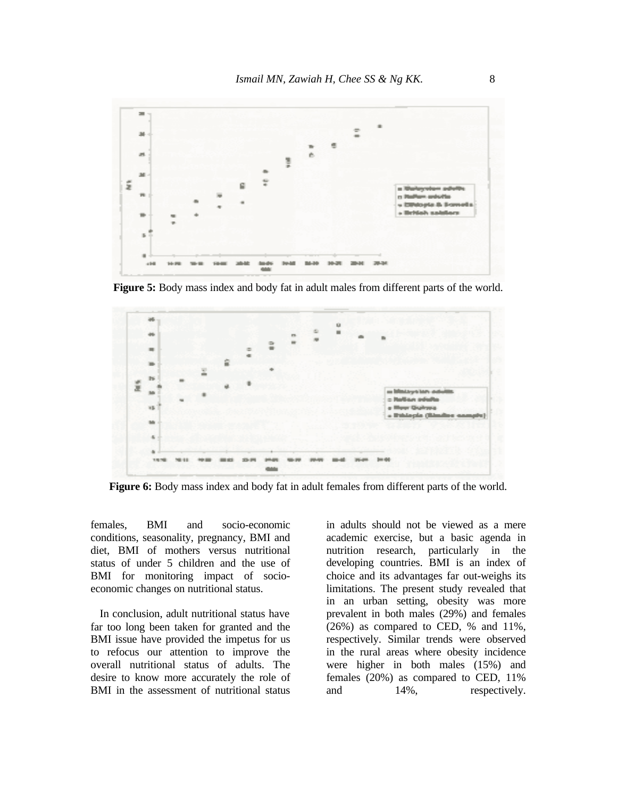

**Figure 5:** Body mass index and body fat in adult males from different parts of the world.



**Figure 6:** Body mass index and body fat in adult females from different parts of the world.

females, BMI and socio-economic conditions, seasonality, pregnancy, BMI and diet, BMI of mothers versus nutritional status of under 5 children and the use of BMI for monitoring impact of socioeconomic changes on nutritional status.

In conclusion, adult nutritional status have far too long been taken for granted and the BMI issue have provided the impetus for us to refocus our attention to improve the overall nutritional status of adults. The desire to know more accurately the role of BMI in the assessment of nutritional status

in adults should not be viewed as a mere academic exercise, but a basic agenda in nutrition research, particularly in the developing countries. BMI is an index of choice and its advantages far out-weighs its limitations. The present study revealed that in an urban setting, obesity was more prevalent in both males (29%) and females (26%) as compared to CED, % and 11%, respectively. Similar trends were observed in the rural areas where obesity incidence were higher in both males (15%) and females (20%) as compared to CED, 11% and  $14\%$ , respectively.